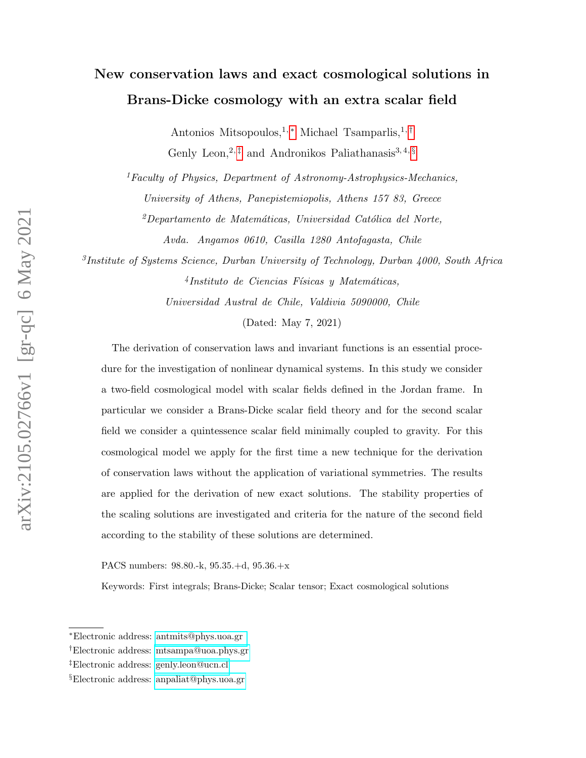# New conservation laws and exact cosmological solutions in Brans-Dicke cosmology with an extra scalar field

Antonios Mitsopoulos,<sup>1,\*</sup> Michael Tsamparlis,<sup>1,[†](#page-0-1)</sup> Genly Leon,<sup>2,  $\ddagger$ </sup> and Andronikos Paliathanasis<sup>3,4, [§](#page-0-3)</sup>

 ${}^{1}$ Faculty of Physics, Department of Astronomy-Astrophysics-Mechanics, University of Athens, Panepistemiopolis, Athens 157 83, Greece

 $^{2}$ Departamento de Matemáticas, Universidad Católica del Norte, Avda. Angamos 0610, Casilla 1280 Antofagasta, Chile

3 Institute of Systems Science, Durban University of Technology, Durban 4000, South Africa  $4$ Instituto de Ciencias Físicas y Matemáticas,

Universidad Austral de Chile, Valdivia 5090000, Chile

#### (Dated: May 7, 2021)

The derivation of conservation laws and invariant functions is an essential procedure for the investigation of nonlinear dynamical systems. In this study we consider a two-field cosmological model with scalar fields defined in the Jordan frame. In particular we consider a Brans-Dicke scalar field theory and for the second scalar field we consider a quintessence scalar field minimally coupled to gravity. For this cosmological model we apply for the first time a new technique for the derivation of conservation laws without the application of variational symmetries. The results are applied for the derivation of new exact solutions. The stability properties of the scaling solutions are investigated and criteria for the nature of the second field according to the stability of these solutions are determined.

PACS numbers: 98.80.-k, 95.35.+d, 95.36.+x

Keywords: First integrals; Brans-Dicke; Scalar tensor; Exact cosmological solutions

<span id="page-0-1"></span><span id="page-0-0"></span><sup>∗</sup>Electronic address: [antmits@phys.uoa.gr](mailto:antmits@phys.uoa.gr )

<span id="page-0-2"></span><sup>†</sup>Electronic address: [mtsampa@uoa.phys.gr](mailto:mtsampa@uoa.phys.gr)

<span id="page-0-3"></span><sup>‡</sup>Electronic address: [genly.leon@ucn.cl](mailto:genly.leon@ucn.cl)

<sup>§</sup>Electronic address: [anpaliat@phys.uoa.gr](mailto:anpaliat@phys.uoa.gr)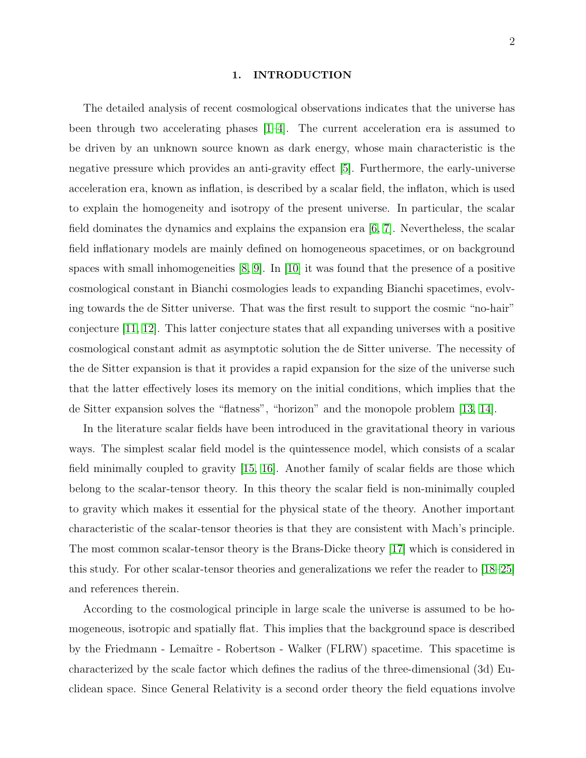#### 1. INTRODUCTION

The detailed analysis of recent cosmological observations indicates that the universe has been through two accelerating phases  $(1-4)$ . The current acceleration era is assumed to be driven by an unknown source known as dark energy, whose main characteristic is the negative pressure which provides an anti-gravity effect [\[5\]](#page-20-2). Furthermore, the early-universe acceleration era, known as inflation, is described by a scalar field, the inflaton, which is used to explain the homogeneity and isotropy of the present universe. In particular, the scalar field dominates the dynamics and explains the expansion era [\[6,](#page-20-3) [7\]](#page-20-4). Nevertheless, the scalar field inflationary models are mainly defined on homogeneous spacetimes, or on background spaces with small inhomogeneities  $[8, 9]$  $[8, 9]$ . In  $[10]$  it was found that the presence of a positive cosmological constant in Bianchi cosmologies leads to expanding Bianchi spacetimes, evolving towards the de Sitter universe. That was the first result to support the cosmic "no-hair" conjecture [\[11,](#page-20-8) [12\]](#page-20-9). This latter conjecture states that all expanding universes with a positive cosmological constant admit as asymptotic solution the de Sitter universe. The necessity of the de Sitter expansion is that it provides a rapid expansion for the size of the universe such that the latter effectively loses its memory on the initial conditions, which implies that the de Sitter expansion solves the "flatness", "horizon" and the monopole problem [\[13,](#page-20-10) [14\]](#page-20-11).

In the literature scalar fields have been introduced in the gravitational theory in various ways. The simplest scalar field model is the quintessence model, which consists of a scalar field minimally coupled to gravity [\[15,](#page-20-12) [16\]](#page-20-13). Another family of scalar fields are those which belong to the scalar-tensor theory. In this theory the scalar field is non-minimally coupled to gravity which makes it essential for the physical state of the theory. Another important characteristic of the scalar-tensor theories is that they are consistent with Mach's principle. The most common scalar-tensor theory is the Brans-Dicke theory [\[17\]](#page-21-0) which is considered in this study. For other scalar-tensor theories and generalizations we refer the reader to [\[18](#page-21-1)[–25\]](#page-21-2) and references therein.

According to the cosmological principle in large scale the universe is assumed to be homogeneous, isotropic and spatially flat. This implies that the background space is described by the Friedmann - Lemaître - Robertson - Walker (FLRW) spacetime. This spacetime is characterized by the scale factor which defines the radius of the three-dimensional (3d) Euclidean space. Since General Relativity is a second order theory the field equations involve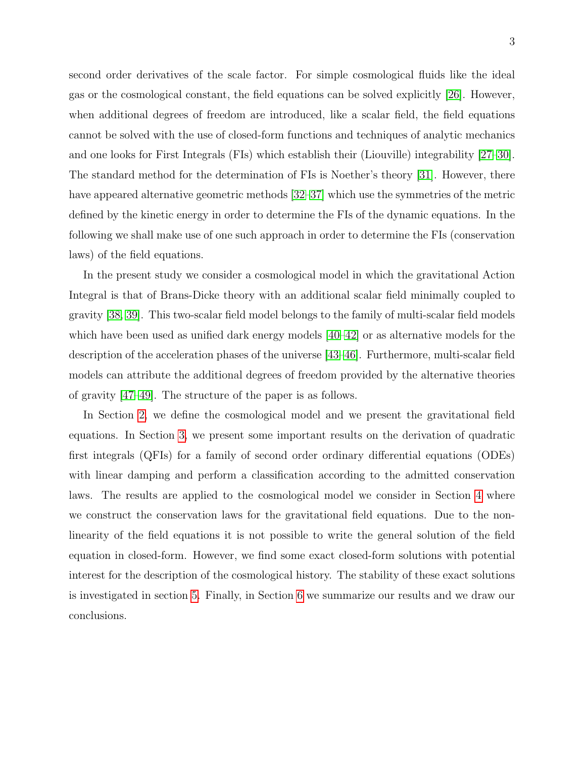second order derivatives of the scale factor. For simple cosmological fluids like the ideal gas or the cosmological constant, the field equations can be solved explicitly [\[26\]](#page-21-3). However, when additional degrees of freedom are introduced, like a scalar field, the field equations cannot be solved with the use of closed-form functions and techniques of analytic mechanics and one looks for First Integrals (FIs) which establish their (Liouville) integrability [\[27–](#page-21-4)[30\]](#page-21-5). The standard method for the determination of FIs is Noether's theory [\[31\]](#page-21-6). However, there have appeared alternative geometric methods [\[32–](#page-21-7)[37\]](#page-21-8) which use the symmetries of the metric defined by the kinetic energy in order to determine the FIs of the dynamic equations. In the following we shall make use of one such approach in order to determine the FIs (conservation laws) of the field equations.

In the present study we consider a cosmological model in which the gravitational Action Integral is that of Brans-Dicke theory with an additional scalar field minimally coupled to gravity [\[38,](#page-21-9) [39\]](#page-21-10). This two-scalar field model belongs to the family of multi-scalar field models which have been used as unified dark energy models [\[40–](#page-21-11)[42\]](#page-21-12) or as alternative models for the description of the acceleration phases of the universe [\[43–](#page-21-13)[46\]](#page-22-0). Furthermore, multi-scalar field models can attribute the additional degrees of freedom provided by the alternative theories of gravity [\[47–](#page-22-1)[49\]](#page-22-2). The structure of the paper is as follows.

In Section [2,](#page-3-0) we define the cosmological model and we present the gravitational field equations. In Section [3,](#page-4-0) we present some important results on the derivation of quadratic first integrals (QFIs) for a family of second order ordinary differential equations (ODEs) with linear damping and perform a classification according to the admitted conservation laws. The results are applied to the cosmological model we consider in Section [4](#page-9-0) where we construct the conservation laws for the gravitational field equations. Due to the nonlinearity of the field equations it is not possible to write the general solution of the field equation in closed-form. However, we find some exact closed-form solutions with potential interest for the description of the cosmological history. The stability of these exact solutions is investigated in section [5.](#page-15-0) Finally, in Section [6](#page-19-0) we summarize our results and we draw our conclusions.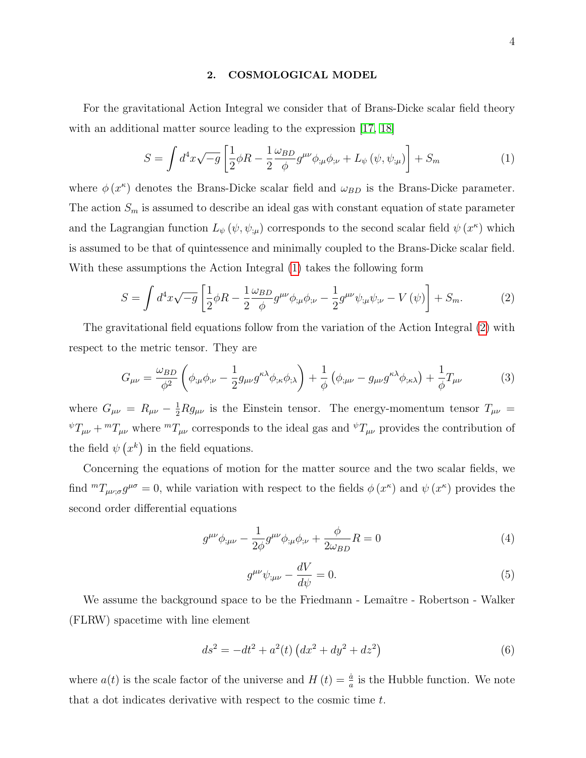#### <span id="page-3-0"></span>2. COSMOLOGICAL MODEL

For the gravitational Action Integral we consider that of Brans-Dicke scalar field theory with an additional matter source leading to the expression [\[17,](#page-21-0) [18\]](#page-21-1)

<span id="page-3-1"></span>
$$
S = \int d^4x \sqrt{-g} \left[ \frac{1}{2} \phi R - \frac{1}{2} \frac{\omega_{BD}}{\phi} g^{\mu\nu} \phi_{;\mu} \phi_{;\nu} + L_{\psi} (\psi, \psi_{;\mu}) \right] + S_m \tag{1}
$$

where  $\phi(x^{\kappa})$  denotes the Brans-Dicke scalar field and  $\omega_{BD}$  is the Brans-Dicke parameter. The action  $S_m$  is assumed to describe an ideal gas with constant equation of state parameter and the Lagrangian function  $L_{\psi}(\psi, \psi_{;\mu})$  corresponds to the second scalar field  $\psi(x^{\kappa})$  which is assumed to be that of quintessence and minimally coupled to the Brans-Dicke scalar field. With these assumptions the Action Integral [\(1\)](#page-3-1) takes the following form

<span id="page-3-2"></span>
$$
S = \int d^4x \sqrt{-g} \left[ \frac{1}{2} \phi R - \frac{1}{2} \frac{\omega_{BD}}{\phi} g^{\mu\nu} \phi_{;\mu} \phi_{;\nu} - \frac{1}{2} g^{\mu\nu} \psi_{;\mu} \psi_{;\nu} - V(\psi) \right] + S_m. \tag{2}
$$

The gravitational field equations follow from the variation of the Action Integral [\(2\)](#page-3-2) with respect to the metric tensor. They are

<span id="page-3-4"></span>
$$
G_{\mu\nu} = \frac{\omega_{BD}}{\phi^2} \left( \phi_{;\mu} \phi_{;\nu} - \frac{1}{2} g_{\mu\nu} g^{\kappa\lambda} \phi_{;\kappa} \phi_{;\lambda} \right) + \frac{1}{\phi} \left( \phi_{;\mu\nu} - g_{\mu\nu} g^{\kappa\lambda} \phi_{;\kappa\lambda} \right) + \frac{1}{\phi} T_{\mu\nu} \tag{3}
$$

where  $G_{\mu\nu} = R_{\mu\nu} - \frac{1}{2} R g_{\mu\nu}$  is the Einstein tensor. The energy-momentum tensor  $T_{\mu\nu}$  =  $\sqrt[\psi]{T_{\mu\nu}} + \sqrt[m]{T_{\mu\nu}}$  where  $\sqrt[m]{T_{\mu\nu}}$  corresponds to the ideal gas and  $\sqrt[\psi]{T_{\mu\nu}}$  provides the contribution of the field  $\psi(x^k)$  in the field equations.

Concerning the equations of motion for the matter source and the two scalar fields, we find  ${}^m T_{\mu\nu;\sigma} g^{\mu\sigma} = 0$ , while variation with respect to the fields  $\phi(x^{\kappa})$  and  $\psi(x^{\kappa})$  provides the second order differential equations

$$
g^{\mu\nu}\phi_{;\mu\nu} - \frac{1}{2\phi}g^{\mu\nu}\phi_{;\mu}\phi_{;\nu} + \frac{\phi}{2\omega_{BD}}R = 0
$$
 (4)

$$
g^{\mu\nu}\psi_{;\mu\nu} - \frac{dV}{d\psi} = 0.
$$
\n(5)

We assume the background space to be the Friedmann - Lemaître - Robertson - Walker (FLRW) spacetime with line element

<span id="page-3-3"></span>
$$
ds^{2} = -dt^{2} + a^{2}(t) \left(dx^{2} + dy^{2} + dz^{2}\right)
$$
\n(6)

where  $a(t)$  is the scale factor of the universe and  $H(t) = \frac{\dot{a}}{a}$  is the Hubble function. We note that a dot indicates derivative with respect to the cosmic time t.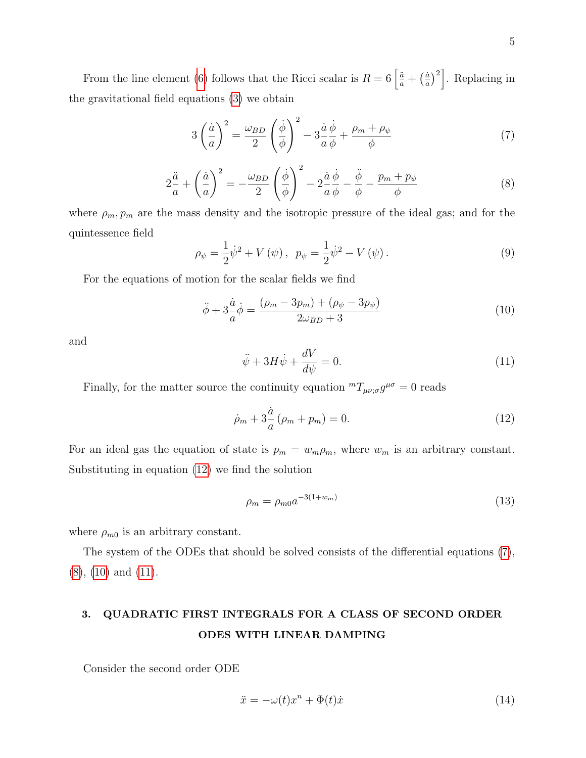From the line element [\(6\)](#page-3-3) follows that the Ricci scalar is  $R = 6 \left[ \frac{a}{a} + \left( \frac{a}{a} \right) \right]$  $\left(\frac{\dot{a}}{a}\right)^2$ . Replacing in the gravitational field equations [\(3\)](#page-3-4) we obtain

<span id="page-4-2"></span>
$$
3\left(\frac{\dot{a}}{a}\right)^2 = \frac{\omega_{BD}}{2}\left(\frac{\dot{\phi}}{\phi}\right)^2 - 3\frac{\dot{a}}{a}\frac{\dot{\phi}}{\phi} + \frac{\rho_m + \rho_\psi}{\phi} \tag{7}
$$

<span id="page-4-3"></span>
$$
2\frac{\ddot{a}}{a} + \left(\frac{\dot{a}}{a}\right)^2 = -\frac{\omega_{BD}}{2}\left(\frac{\dot{\phi}}{\phi}\right)^2 - 2\frac{\dot{a}}{a}\frac{\dot{\phi}}{\phi} - \frac{\ddot{\phi}}{\phi} - \frac{p_m + p_\psi}{\phi} \tag{8}
$$

where  $\rho_m, p_m$  are the mass density and the isotropic pressure of the ideal gas; and for the quintessence field

$$
\rho_{\psi} = \frac{1}{2}\dot{\psi}^{2} + V(\psi), \ \ p_{\psi} = \frac{1}{2}\dot{\psi}^{2} - V(\psi). \tag{9}
$$

For the equations of motion for the scalar fields we find

<span id="page-4-4"></span>
$$
\ddot{\phi} + 3\frac{\dot{a}}{a}\dot{\phi} = \frac{(\rho_m - 3p_m) + (\rho_\psi - 3p_\psi)}{2\omega_{BD} + 3}
$$
(10)

and

<span id="page-4-5"></span>
$$
\ddot{\psi} + 3H\dot{\psi} + \frac{dV}{d\psi} = 0.
$$
\n(11)

Finally, for the matter source the continuity equation  ${}^m T_{\mu\nu;\sigma} g^{\mu\sigma} = 0$  reads

<span id="page-4-1"></span>
$$
\dot{\rho}_m + 3\frac{\dot{a}}{a}(\rho_m + p_m) = 0. \tag{12}
$$

For an ideal gas the equation of state is  $p_m = w_m \rho_m$ , where  $w_m$  is an arbitrary constant. Substituting in equation [\(12\)](#page-4-1) we find the solution

$$
\rho_m = \rho_{m0} a^{-3(1+w_m)} \tag{13}
$$

where  $\rho_{m0}$  is an arbitrary constant.

The system of the ODEs that should be solved consists of the differential equations [\(7\)](#page-4-2), [\(8\)](#page-4-3), [\(10\)](#page-4-4) and [\(11\)](#page-4-5).

# <span id="page-4-0"></span>3. QUADRATIC FIRST INTEGRALS FOR A CLASS OF SECOND ORDER ODES WITH LINEAR DAMPING

Consider the second order ODE

<span id="page-4-6"></span>
$$
\ddot{x} = -\omega(t)x^n + \Phi(t)\dot{x} \tag{14}
$$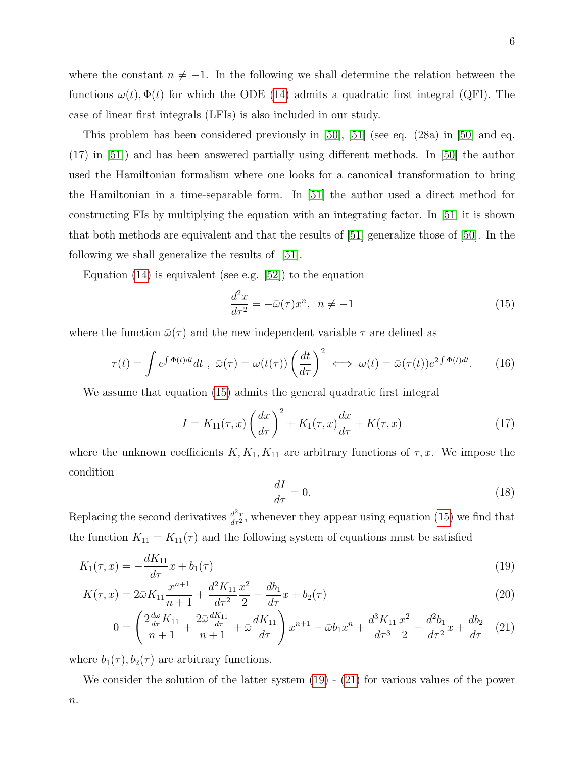where the constant  $n \neq -1$ . In the following we shall determine the relation between the functions  $\omega(t)$ ,  $\Phi(t)$  for which the ODE [\(14\)](#page-4-6) admits a quadratic first integral (QFI). The case of linear first integrals (LFIs) is also included in our study.

This problem has been considered previously in [\[50\]](#page-22-3), [\[51\]](#page-22-4) (see eq. (28a) in [\[50\]](#page-22-3) and eq. (17) in [\[51\]](#page-22-4)) and has been answered partially using different methods. In [\[50\]](#page-22-3) the author used the Hamiltonian formalism where one looks for a canonical transformation to bring the Hamiltonian in a time-separable form. In [\[51\]](#page-22-4) the author used a direct method for constructing FIs by multiplying the equation with an integrating factor. In [\[51\]](#page-22-4) it is shown that both methods are equivalent and that the results of [\[51\]](#page-22-4) generalize those of [\[50\]](#page-22-3). In the following we shall generalize the results of [\[51\]](#page-22-4).

Equation [\(14\)](#page-4-6) is equivalent (see e.g. [\[52\]](#page-22-5)) to the equation

<span id="page-5-0"></span>
$$
\frac{d^2x}{d\tau^2} = -\bar{\omega}(\tau)x^n, \ \ n \neq -1 \tag{15}
$$

where the function  $\bar{\omega}(\tau)$  and the new independent variable  $\tau$  are defined as

<span id="page-5-4"></span>
$$
\tau(t) = \int e^{\int \Phi(t)dt} dt \, , \, \bar{\omega}(\tau) = \omega(t(\tau)) \left(\frac{dt}{d\tau}\right)^2 \iff \omega(t) = \bar{\omega}(\tau(t))e^{2\int \Phi(t)dt}.\tag{16}
$$

We assume that equation [\(15\)](#page-5-0) admits the general quadratic first integral

<span id="page-5-3"></span>
$$
I = K_{11}(\tau, x) \left(\frac{dx}{d\tau}\right)^2 + K_1(\tau, x) \frac{dx}{d\tau} + K(\tau, x)
$$
\n(17)

where the unknown coefficients  $K, K_1, K_{11}$  are arbitrary functions of  $\tau, x$ . We impose the condition

<span id="page-5-2"></span><span id="page-5-1"></span>
$$
\frac{dI}{d\tau} = 0.\t(18)
$$

Replacing the second derivatives  $\frac{d^2x}{dx^2}$  $\frac{d^2x}{d\tau^2}$ , whenever they appear using equation [\(15\)](#page-5-0) we find that the function  $K_{11} = K_{11}(\tau)$  and the following system of equations must be satisfied

$$
K_1(\tau, x) = -\frac{dK_{11}}{d\tau}x + b_1(\tau) \tag{19}
$$

$$
K(\tau, x) = 2\bar{\omega}K_{11}\frac{x^{n+1}}{n+1} + \frac{d^2K_{11}}{d\tau^2}\frac{x^2}{2} - \frac{db_1}{d\tau}x + b_2(\tau)
$$
\n(20)

$$
0 = \left(\frac{2\frac{d\bar{\omega}}{d\tau}K_{11}}{n+1} + \frac{2\bar{\omega}\frac{dK_{11}}{d\tau}}{n+1} + \bar{\omega}\frac{dK_{11}}{d\tau}\right)x^{n+1} - \bar{\omega}b_1x^n + \frac{d^3K_{11}}{d\tau^3}\frac{x^2}{2} - \frac{d^2b_1}{d\tau^2}x + \frac{db_2}{d\tau} \tag{21}
$$

where  $b_1(\tau)$ ,  $b_2(\tau)$  are arbitrary functions.

We consider the solution of the latter system  $(19)$  -  $(21)$  for various values of the power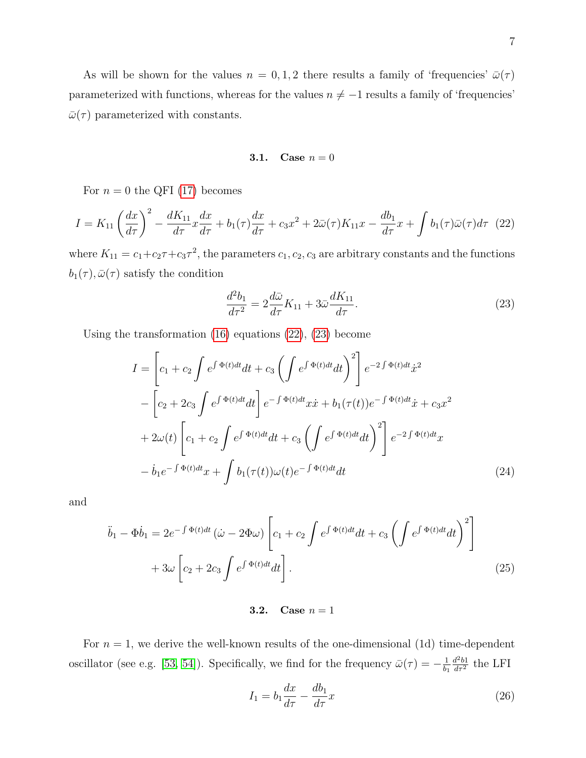As will be shown for the values  $n = 0, 1, 2$  there results a family of 'frequencies'  $\bar{\omega}(\tau)$ parameterized with functions, whereas for the values  $n \neq -1$  results a family of 'frequencies'  $\bar{\omega}(\tau)$  parameterized with constants.

# **3.1.** Case  $n = 0$

For  $n = 0$  the QFI [\(17\)](#page-5-3) becomes

<span id="page-6-0"></span>
$$
I = K_{11} \left(\frac{dx}{d\tau}\right)^2 - \frac{dK_{11}}{d\tau} x \frac{dx}{d\tau} + b_1(\tau) \frac{dx}{d\tau} + c_3 x^2 + 2\bar{\omega}(\tau) K_{11} x - \frac{db_1}{d\tau} x + \int b_1(\tau) \bar{\omega}(\tau) d\tau \tag{22}
$$

where  $K_{11} = c_1 + c_2 \tau + c_3 \tau^2$ , the parameters  $c_1, c_2, c_3$  are arbitrary constants and the functions  $b_1(\tau), \bar{\omega}(\tau)$  satisfy the condition

<span id="page-6-1"></span>
$$
\frac{d^2b_1}{d\tau^2} = 2\frac{d\bar{\omega}}{d\tau}K_{11} + 3\bar{\omega}\frac{dK_{11}}{d\tau}.\tag{23}
$$

Using the transformation [\(16\)](#page-5-4) equations [\(22\)](#page-6-0), [\(23\)](#page-6-1) become

$$
I = \left[c_1 + c_2 \int e^{\int \Phi(t)dt} dt + c_3 \left(\int e^{\int \Phi(t)dt} dt\right)^2\right] e^{-2\int \Phi(t)dt} \dot{x}^2
$$
  

$$
- \left[c_2 + 2c_3 \int e^{\int \Phi(t)dt} dt\right] e^{-\int \Phi(t)dt} x\dot{x} + b_1(\tau(t))e^{-\int \Phi(t)dt} \dot{x} + c_3 x^2
$$
  

$$
+ 2\omega(t) \left[c_1 + c_2 \int e^{\int \Phi(t)dt} dt + c_3 \left(\int e^{\int \Phi(t)dt} dt\right)^2\right] e^{-2\int \Phi(t)dt} x
$$
  

$$
- \dot{b}_1 e^{-\int \Phi(t)dt} x + \int b_1(\tau(t))\omega(t) e^{-\int \Phi(t)dt} dt
$$
 (24)

and

$$
\ddot{b}_1 - \Phi \dot{b}_1 = 2e^{-\int \Phi(t)dt} \left( \dot{\omega} - 2\Phi \omega \right) \left[ c_1 + c_2 \int e^{\int \Phi(t)dt} dt + c_3 \left( \int e^{\int \Phi(t)dt} dt \right)^2 \right] + 3\omega \left[ c_2 + 2c_3 \int e^{\int \Phi(t)dt} dt \right].
$$
\n(25)

# **3.2.** Case  $n = 1$

For  $n = 1$ , we derive the well-known results of the one-dimensional (1d) time-dependent oscillator (see e.g. [\[53,](#page-22-6) [54\]](#page-22-7)). Specifically, we find for the frequency  $\bar{\omega}(\tau) = -\frac{1}{b}$  $b_1$  $\frac{d^2b}{d\tau^2}$  the LFI

$$
I_1 = b_1 \frac{dx}{d\tau} - \frac{db_1}{d\tau} x \tag{26}
$$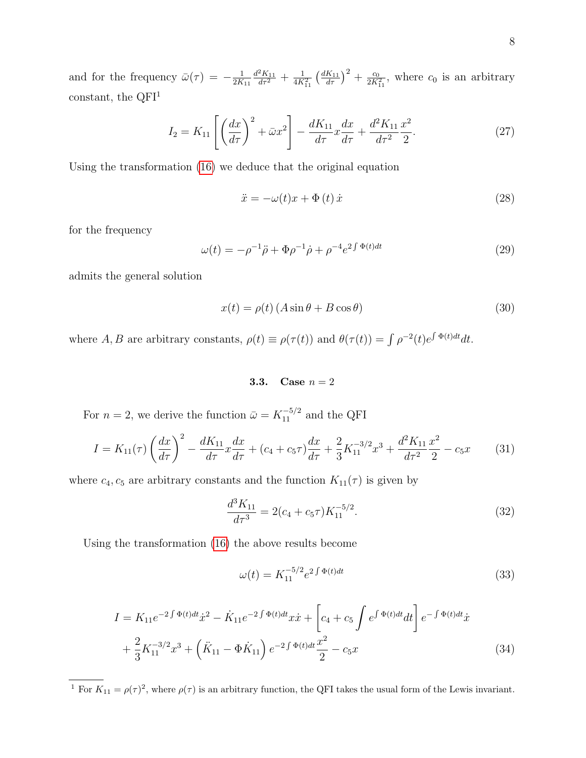and for the frequency  $\bar{\omega}(\tau) = -\frac{1}{2K}$  $2K_{11}$  $\frac{d^2K_{11}}{d\tau^2} + \frac{1}{4K_{11}^2} \left(\frac{dK_{11}}{d\tau}\right)^2 + \frac{c_0}{2K_{11}^2}$ , where  $c_0$  is an arbitrary constant, the  $QFI<sup>1</sup>$ 

$$
I_2 = K_{11} \left[ \left( \frac{dx}{d\tau} \right)^2 + \bar{\omega} x^2 \right] - \frac{dK_{11}}{d\tau} x \frac{dx}{d\tau} + \frac{d^2 K_{11}}{d\tau^2} \frac{x^2}{2}.
$$
 (27)

Using the transformation [\(16\)](#page-5-4) we deduce that the original equation

$$
\ddot{x} = -\omega(t)x + \Phi(t)\,\dot{x} \tag{28}
$$

for the frequency

$$
\omega(t) = -\rho^{-1}\ddot{\rho} + \Phi\rho^{-1}\dot{\rho} + \rho^{-4}e^{2\int \Phi(t)dt}
$$
\n(29)

admits the general solution

$$
x(t) = \rho(t) \left( A \sin \theta + B \cos \theta \right) \tag{30}
$$

where A, B are arbitrary constants,  $\rho(t) \equiv \rho(\tau(t))$  and  $\theta(\tau(t)) = \int \rho^{-2}(t)e^{\int \Phi(t)dt}dt$ .

**3.3.** Case  $n = 2$ 

For  $n = 2$ , we derive the function  $\bar{\omega} = K_{11}^{-5/2}$  and the QFI

<span id="page-7-0"></span>
$$
I = K_{11}(\tau) \left(\frac{dx}{d\tau}\right)^2 - \frac{dK_{11}}{d\tau} x \frac{dx}{d\tau} + (c_4 + c_5 \tau) \frac{dx}{d\tau} + \frac{2}{3} K_{11}^{-3/2} x^3 + \frac{d^2 K_{11}}{d\tau^2} \frac{x^2}{2} - c_5 x \tag{31}
$$

where  $c_4$ ,  $c_5$  are arbitrary constants and the function  $K_{11}(\tau)$  is given by

$$
\frac{d^3 K_{11}}{d\tau^3} = 2(c_4 + c_5 \tau) K_{11}^{-5/2}.
$$
\n(32)

Using the transformation [\(16\)](#page-5-4) the above results become

<span id="page-7-1"></span>
$$
\omega(t) = K_{11}^{-5/2} e^{2 \int \Phi(t) dt} \tag{33}
$$

$$
I = K_{11}e^{-2\int \Phi(t)dt} \dot{x}^2 - \dot{K}_{11}e^{-2\int \Phi(t)dt} x\dot{x} + \left[c_4 + c_5 \int e^{\int \Phi(t)dt} dt\right] e^{-\int \Phi(t)dt} \dot{x} + \frac{2}{3}K_{11}^{-3/2}x^3 + \left(\ddot{K}_{11} - \Phi \dot{K}_{11}\right)e^{-2\int \Phi(t)dt} \frac{x^2}{2} - c_5x
$$
\n(34)

<sup>1</sup> For  $K_{11} = \rho(\tau)^2$ , where  $\rho(\tau)$  is an arbitrary function, the QFI takes the usual form of the Lewis invariant.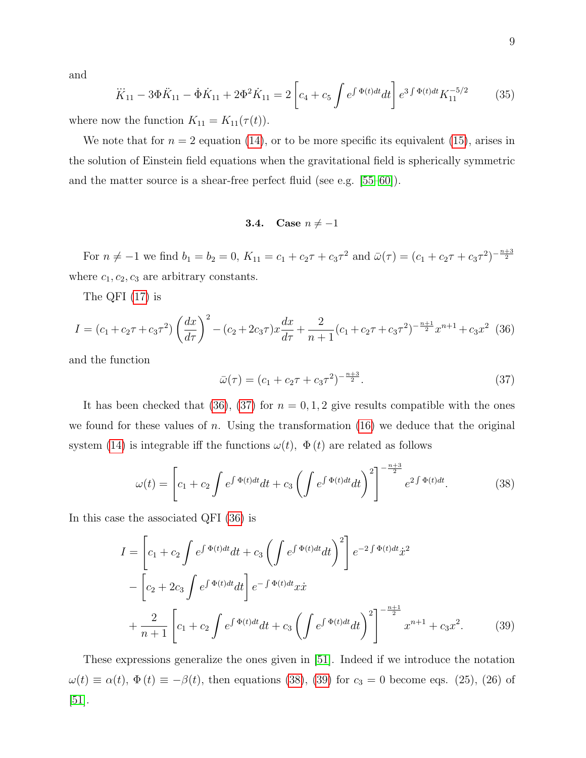and

<span id="page-8-4"></span>
$$
\dddot{K}_{11} - 3\Phi \ddot{K}_{11} - \dot{\Phi} \dot{K}_{11} + 2\Phi^2 \dot{K}_{11} = 2 \left[ c_4 + c_5 \int e^{\int \Phi(t)dt} dt \right] e^{3 \int \Phi(t)dt} K_{11}^{-5/2}
$$
(35)

where now the function  $K_{11} = K_{11}(\tau(t))$ .

We note that for  $n = 2$  equation [\(14\)](#page-4-6), or to be more specific its equivalent [\(15\)](#page-5-0), arises in the solution of Einstein field equations when the gravitational field is spherically symmetric and the matter source is a shear-free perfect fluid (see e.g. [\[55–](#page-22-8)[60\]](#page-22-9)).

# 3.4. Case  $n \neq -1$

For  $n \neq -1$  we find  $b_1 = b_2 = 0$ ,  $K_{11} = c_1 + c_2\tau + c_3\tau^2$  and  $\bar{\omega}(\tau) = (c_1 + c_2\tau + c_3\tau^2)^{-\frac{n+3}{2}}$ where  $c_1, c_2, c_3$  are arbitrary constants.

The QFI [\(17\)](#page-5-3) is

<span id="page-8-0"></span>
$$
I = (c_1 + c_2 \tau + c_3 \tau^2) \left(\frac{dx}{d\tau}\right)^2 - (c_2 + 2c_3 \tau) x \frac{dx}{d\tau} + \frac{2}{n+1} (c_1 + c_2 \tau + c_3 \tau^2)^{-\frac{n+1}{2}} x^{n+1} + c_3 x^2
$$
 (36)

and the function

<span id="page-8-3"></span><span id="page-8-1"></span>
$$
\bar{\omega}(\tau) = (c_1 + c_2 \tau + c_3 \tau^2)^{-\frac{n+3}{2}}.
$$
\n(37)

It has been checked that [\(36\)](#page-8-0), [\(37\)](#page-8-1) for  $n = 0, 1, 2$  give results compatible with the ones we found for these values of n. Using the transformation  $(16)$  we deduce that the original system [\(14\)](#page-4-6) is integrable iff the functions  $\omega(t)$ ,  $\Phi(t)$  are related as follows

<span id="page-8-2"></span>
$$
\omega(t) = \left[c_1 + c_2 \int e^{\int \Phi(t)dt} dt + c_3 \left(\int e^{\int \Phi(t)dt} dt\right)^2\right]^{-\frac{n+3}{2}} e^{2\int \Phi(t)dt}.\tag{38}
$$

In this case the associated QFI [\(36\)](#page-8-0) is

$$
I = \left[c_1 + c_2 \int e^{\int \Phi(t)dt} dt + c_3 \left( \int e^{\int \Phi(t)dt} dt \right)^2 \right] e^{-2 \int \Phi(t)dt} \dot{x}^2
$$

$$
- \left[c_2 + 2c_3 \int e^{\int \Phi(t)dt} dt \right] e^{-\int \Phi(t)dt} x \dot{x}
$$

$$
+ \frac{2}{n+1} \left[c_1 + c_2 \int e^{\int \Phi(t)dt} dt + c_3 \left( \int e^{\int \Phi(t)dt} dt \right)^2 \right]^{-\frac{n+1}{2}} x^{n+1} + c_3 x^2. \tag{39}
$$

These expressions generalize the ones given in [\[51\]](#page-22-4). Indeed if we introduce the notation  $\omega(t) \equiv \alpha(t), \Phi(t) \equiv -\beta(t)$ , then equations [\(38\)](#page-8-2), [\(39\)](#page-8-3) for  $c_3 = 0$  become eqs. (25), (26) of  $|51|$ .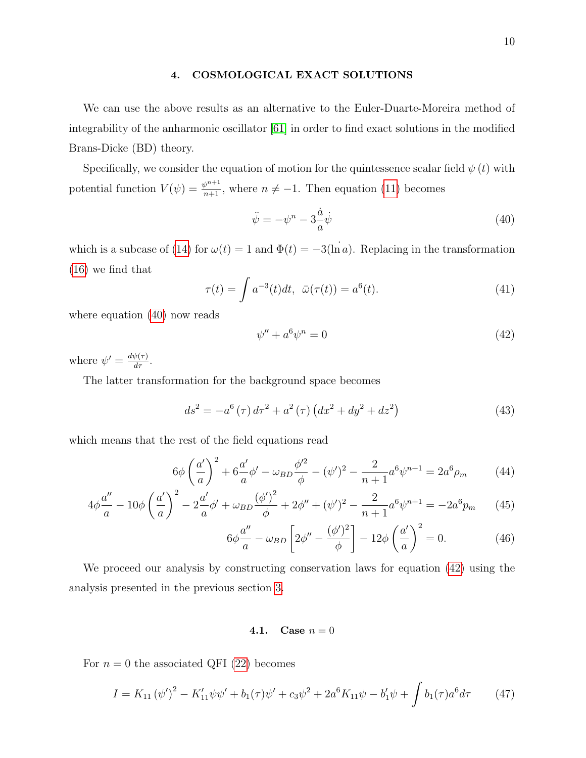### <span id="page-9-0"></span>4. COSMOLOGICAL EXACT SOLUTIONS

We can use the above results as an alternative to the Euler-Duarte-Moreira method of integrability of the anharmonic oscillator [\[61\]](#page-22-10) in order to find exact solutions in the modified Brans-Dicke (BD) theory.

Specifically, we consider the equation of motion for the quintessence scalar field  $\psi(t)$  with potential function  $V(\psi) = \frac{\psi^{n+1}}{n+1}$ , where  $n \neq -1$ . Then equation [\(11\)](#page-4-5) becomes

<span id="page-9-1"></span>
$$
\ddot{\psi} = -\psi^n - 3\frac{\dot{a}}{a}\dot{\psi} \tag{40}
$$

which is a subcase of [\(14\)](#page-4-6) for  $\omega(t) = 1$  and  $\Phi(t) = -3(\ln a)$ . Replacing in the transformation [\(16\)](#page-5-4) we find that

<span id="page-9-3"></span>
$$
\tau(t) = \int a^{-3}(t)dt, \quad \bar{\omega}(\tau(t)) = a^{6}(t). \tag{41}
$$

where equation [\(40\)](#page-9-1) now reads

<span id="page-9-4"></span><span id="page-9-2"></span>
$$
\psi'' + a^6 \psi^n = 0 \tag{42}
$$

where  $\psi' = \frac{d\psi(\tau)}{d\tau}$ .

The latter transformation for the background space becomes

$$
ds^{2} = -a^{6}(\tau) d\tau^{2} + a^{2}(\tau) (dx^{2} + dy^{2} + dz^{2})
$$
\n(43)

which means that the rest of the field equations read

$$
6\phi \left(\frac{a'}{a}\right)^2 + 6\frac{a'}{a}\phi' - \omega_{BD}\frac{\phi'^2}{\phi} - (\psi')^2 - \frac{2}{n+1}a^6\psi^{n+1} = 2a^6\rho_m \tag{44}
$$

$$
4\phi \frac{a''}{a} - 10\phi \left(\frac{a'}{a}\right)^2 - 2\frac{a'}{a}\phi' + \omega_{BD} \frac{(\phi')^2}{\phi} + 2\phi'' + (\psi')^2 - \frac{2}{n+1}a^6\psi^{n+1} = -2a^6 p_m \tag{45}
$$

<span id="page-9-5"></span>
$$
6\phi \frac{a''}{a} - \omega_{BD} \left[ 2\phi'' - \frac{(\phi')^2}{\phi} \right] - 12\phi \left( \frac{a'}{a} \right)^2 = 0. \tag{46}
$$

We proceed our analysis by constructing conservation laws for equation [\(42\)](#page-9-2) using the analysis presented in the previous section [3.](#page-4-0)

4.1. Case  $n = 0$ 

For  $n = 0$  the associated QFI [\(22\)](#page-6-0) becomes

$$
I = K_{11} (\psi')^2 - K_{11}' \psi \psi' + b_1(\tau) \psi' + c_3 \psi^2 + 2a^6 K_{11} \psi - b_1' \psi + \int b_1(\tau) a^6 d\tau \tag{47}
$$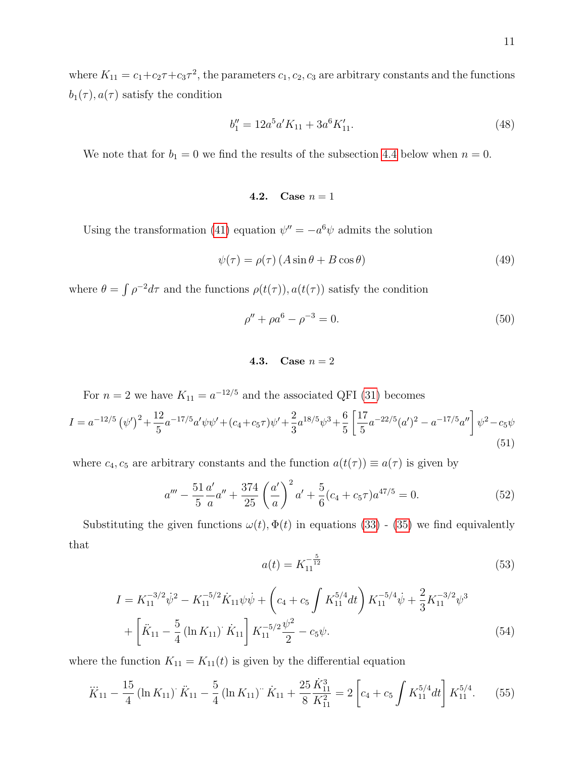where  $K_{11} = c_1 + c_2 \tau + c_3 \tau^2$ , the parameters  $c_1, c_2, c_3$  are arbitrary constants and the functions  $b_1(\tau)$ ,  $a(\tau)$  satisfy the condition

$$
b_1'' = 12a^5a'K_{11} + 3a^6K_{11}'.\tag{48}
$$

We note that for  $b_1 = 0$  we find the results of the subsection [4.4](#page-12-0) below when  $n = 0$ .

$$
4.2. \quad \text{Case } n=1
$$

Using the transformation [\(41\)](#page-9-3) equation  $\psi'' = -a^6 \psi$  admits the solution

$$
\psi(\tau) = \rho(\tau) \left( A \sin \theta + B \cos \theta \right) \tag{49}
$$

where  $\theta = \int \rho^{-2} d\tau$  and the functions  $\rho(t(\tau))$ ,  $a(t(\tau))$  satisfy the condition

$$
\rho'' + \rho a^6 - \rho^{-3} = 0. \tag{50}
$$

# 4.3. Case  $n = 2$

For  $n = 2$  we have  $K_{11} = a^{-12/5}$  and the associated QFI [\(31\)](#page-7-0) becomes

$$
I = a^{-12/5} \left(\psi'\right)^2 + \frac{12}{5} a^{-17/5} a' \psi \psi' + (c_4 + c_5 \tau) \psi' + \frac{2}{3} a^{18/5} \psi^3 + \frac{6}{5} \left[\frac{17}{5} a^{-22/5} (a')^2 - a^{-17/5} a''\right] \psi^2 - c_5 \psi
$$
\n
$$
\tag{51}
$$

where  $c_4$ ,  $c_5$  are arbitrary constants and the function  $a(t(\tau)) \equiv a(\tau)$  is given by

$$
a''' - \frac{51}{5} \frac{a'}{a} a'' + \frac{374}{25} \left(\frac{a'}{a}\right)^2 a' + \frac{5}{6} (c_4 + c_5 \tau) a^{47/5} = 0.
$$
 (52)

Substituting the given functions  $\omega(t)$ ,  $\Phi(t)$  in equations [\(33\)](#page-7-1) - [\(35\)](#page-8-4) we find equivalently that

<span id="page-10-1"></span>
$$
a(t) = K_{11}^{-\frac{5}{12}} \tag{53}
$$

$$
I = K_{11}^{-3/2} \dot{\psi}^2 - K_{11}^{-5/2} \dot{K}_{11} \psi \dot{\psi} + \left( c_4 + c_5 \int K_{11}^{5/4} dt \right) K_{11}^{-5/4} \dot{\psi} + \frac{2}{3} K_{11}^{-3/2} \psi^3
$$
  
+ 
$$
\left[ \ddot{K}_{11} - \frac{5}{4} \left( \ln K_{11} \right) \dot{K}_{11} \right] K_{11}^{-5/2} \frac{\psi^2}{2} - c_5 \psi.
$$
 (54)

where the function  $K_{11} = K_{11}(t)$  is given by the differential equation

<span id="page-10-0"></span>
$$
\ddot{K}_{11} - \frac{15}{4} \left( \ln K_{11} \right) \dot{K}_{11} - \frac{5}{4} \left( \ln K_{11} \right) \dot{K}_{11} + \frac{25}{8} \frac{\dot{K}_{11}^3}{K_{11}^2} = 2 \left[ c_4 + c_5 \int K_{11}^{5/4} dt \right] K_{11}^{5/4}.
$$
 (55)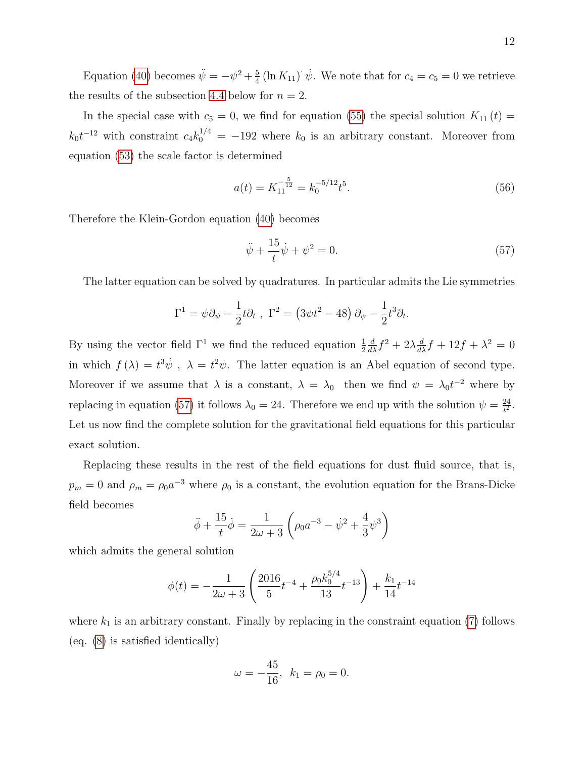Equation [\(40\)](#page-9-1) becomes  $\ddot{\psi} = -\psi^2 + \frac{5}{4}$  $\frac{5}{4}$  (ln  $K_{11}$ )  $\dot{\psi}$ . We note that for  $c_4 = c_5 = 0$  we retrieve the results of the subsection [4.4](#page-12-0) below for  $n = 2$ .

In the special case with  $c_5 = 0$ , we find for equation [\(55\)](#page-10-0) the special solution  $K_{11}(t) =$  $k_0 t^{-12}$  with constraint  $c_4 k_0^{1/4} = -192$  where  $k_0$  is an arbitrary constant. Moreover from equation [\(53\)](#page-10-1) the scale factor is determined

$$
a(t) = K_{11}^{-\frac{5}{12}} = k_0^{-5/12} t^5.
$$
\n(56)

Therefore the Klein-Gordon equation [\(40\)](#page-9-1) becomes

<span id="page-11-0"></span>
$$
\ddot{\psi} + \frac{15}{t}\dot{\psi} + \psi^2 = 0.
$$
\n(57)

The latter equation can be solved by quadratures. In particular admits the Lie symmetries

$$
\Gamma^1 = \psi \partial_{\psi} - \frac{1}{2} t \partial_t , \ \Gamma^2 = (3 \psi t^2 - 48) \partial_{\psi} - \frac{1}{2} t^3 \partial_t.
$$

By using the vector field  $\Gamma^1$  we find the reduced equation  $\frac{1}{2}$  $\frac{d}{d\lambda}f^2 + 2\lambda \frac{d}{d\lambda}f + 12f + \lambda^2 = 0$ in which  $f(\lambda) = t^3 \dot{\psi}$ ,  $\lambda = t^2 \psi$ . The latter equation is an Abel equation of second type. Moreover if we assume that  $\lambda$  is a constant,  $\lambda = \lambda_0$  then we find  $\psi = \lambda_0 t^{-2}$  where by replacing in equation [\(57\)](#page-11-0) it follows  $\lambda_0 = 24$ . Therefore we end up with the solution  $\psi = \frac{24}{t^2}$  $\frac{24}{t^2}$ . Let us now find the complete solution for the gravitational field equations for this particular exact solution.

Replacing these results in the rest of the field equations for dust fluid source, that is,  $p_m = 0$  and  $\rho_m = \rho_0 a^{-3}$  where  $\rho_0$  is a constant, the evolution equation for the Brans-Dicke field becomes

$$
\ddot{\phi} + \frac{15}{t}\dot{\phi} = \frac{1}{2\omega + 3}\left(\rho_0 a^{-3} - \dot{\psi}^2 + \frac{4}{3}\psi^3\right)
$$

which admits the general solution

$$
\phi(t) = -\frac{1}{2\omega + 3} \left( \frac{2016}{5} t^{-4} + \frac{\rho_0 k_0^{5/4}}{13} t^{-13} \right) + \frac{k_1}{14} t^{-14}
$$

where  $k_1$  is an arbitrary constant. Finally by replacing in the constraint equation [\(7\)](#page-4-2) follows (eq. [\(8\)](#page-4-3) is satisfied identically)

$$
\omega = -\frac{45}{16}, \ \ k_1 = \rho_0 = 0.
$$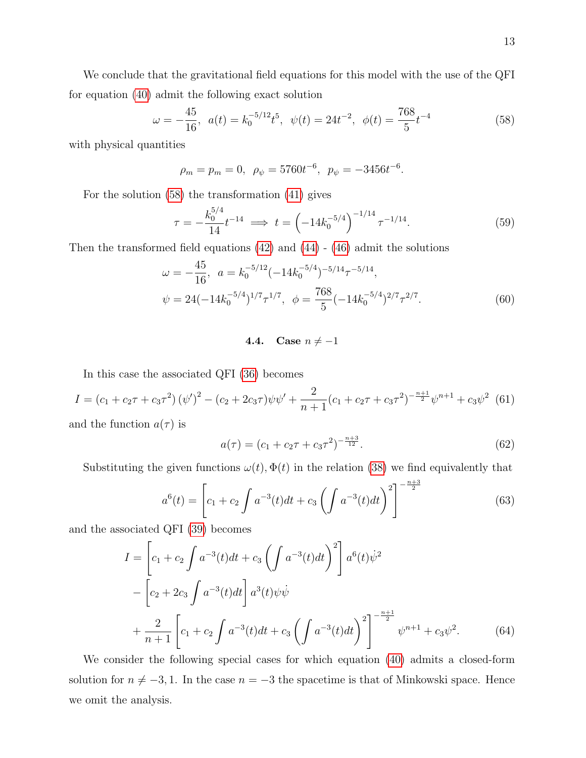We conclude that the gravitational field equations for this model with the use of the QFI for equation [\(40\)](#page-9-1) admit the following exact solution

<span id="page-12-1"></span>
$$
\omega = -\frac{45}{16}, \ a(t) = k_0^{-5/12} t^5, \ \psi(t) = 24t^{-2}, \ \phi(t) = \frac{768}{5} t^{-4}
$$
 (58)

with physical quantities

 $\rho_m = p_m = 0$ ,  $\rho_\psi = 5760t^{-6}$ ,  $p_\psi = -3456t^{-6}$ .

For the solution [\(58\)](#page-12-1) the transformation [\(41\)](#page-9-3) gives

$$
\tau = -\frac{k_0^{5/4}}{14} t^{-14} \implies t = \left(-14k_0^{-5/4}\right)^{-1/14} \tau^{-1/14}.\tag{59}
$$

Then the transformed field equations  $(42)$  and  $(44)$  -  $(46)$  admit the solutions

$$
\omega = -\frac{45}{16}, \quad a = k_0^{-5/12} (-14k_0^{-5/4})^{-5/14} \tau^{-5/14},
$$
  

$$
\psi = 24(-14k_0^{-5/4})^{1/7} \tau^{1/7}, \quad \phi = \frac{768}{5} (-14k_0^{-5/4})^{2/7} \tau^{2/7}.
$$
 (60)

### <span id="page-12-0"></span>4.4. Case  $n \neq -1$

In this case the associated QFI [\(36\)](#page-8-0) becomes

$$
I = (c_1 + c_2 \tau + c_3 \tau^2) (\psi')^2 - (c_2 + 2c_3 \tau) \psi \psi' + \frac{2}{n+1} (c_1 + c_2 \tau + c_3 \tau^2)^{-\frac{n+1}{2}} \psi^{n+1} + c_3 \psi^2
$$
(61)

and the function  $a(\tau)$  is

<span id="page-12-3"></span><span id="page-12-2"></span>
$$
a(\tau) = (c_1 + c_2 \tau + c_3 \tau^2)^{-\frac{n+3}{12}}.
$$
\n(62)

Substituting the given functions  $\omega(t)$ ,  $\Phi(t)$  in the relation [\(38\)](#page-8-2) we find equivalently that

<span id="page-12-4"></span>
$$
a^{6}(t) = \left[c_{1} + c_{2} \int a^{-3}(t)dt + c_{3} \left(\int a^{-3}(t)dt\right)^{2}\right]^{-\frac{n+3}{2}}
$$
\n(63)

and the associated QFI [\(39\)](#page-8-3) becomes

$$
I = \left[c_1 + c_2 \int a^{-3}(t)dt + c_3 \left(\int a^{-3}(t)dt\right)^2\right] a^6(t)\dot{\psi}^2
$$
  
 
$$
- \left[c_2 + 2c_3 \int a^{-3}(t)dt\right] a^3(t)\psi\dot{\psi}
$$
  
 
$$
+ \frac{2}{n+1} \left[c_1 + c_2 \int a^{-3}(t)dt + c_3 \left(\int a^{-3}(t)dt\right)^2\right]^{-\frac{n+1}{2}} \psi^{n+1} + c_3\psi^2.
$$
 (64)

We consider the following special cases for which equation [\(40\)](#page-9-1) admits a closed-form solution for  $n \neq -3, 1$ . In the case  $n = -3$  the spacetime is that of Minkowski space. Hence we omit the analysis.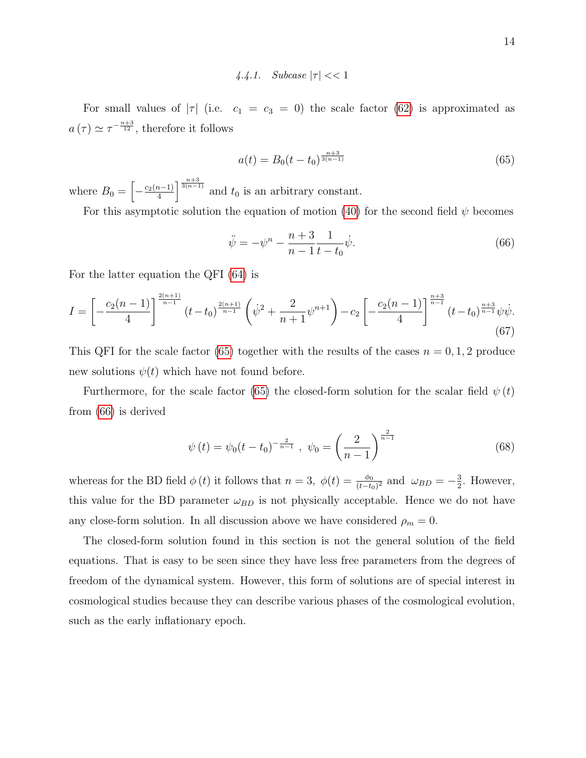4.4.1. Subcase  $|\tau| < 1$ 

For small values of  $|\tau|$  (i.e.  $c_1 = c_3 = 0$ ) the scale factor [\(62\)](#page-12-2) is approximated as  $a(\tau) \simeq \tau^{-\frac{n+3}{12}},$  therefore it follows

<span id="page-13-0"></span>
$$
a(t) = B_0(t - t_0)^{\frac{n+3}{3(n-1)}}\tag{65}
$$

where  $B_0 = \left[ -\frac{c_2(n-1)}{4} \right]$  $\frac{1}{4}$   $\sqrt{\frac{1}{3(n-1)}}$  and  $t_0$  is an arbitrary constant.

For this asymptotic solution the equation of motion [\(40\)](#page-9-1) for the second field  $\psi$  becomes

<span id="page-13-1"></span>
$$
\ddot{\psi} = -\psi^n - \frac{n+3}{n-1} \frac{1}{t - t_0} \dot{\psi}.
$$
\n(66)

For the latter equation the QFI [\(64\)](#page-12-3) is

$$
I = \left[ -\frac{c_2(n-1)}{4} \right]^{\frac{2(n+1)}{n-1}} (t-t_0)^{\frac{2(n+1)}{n-1}} \left( \dot{\psi}^2 + \frac{2}{n+1} \psi^{n+1} \right) - c_2 \left[ -\frac{c_2(n-1)}{4} \right]^{\frac{n+3}{n-1}} (t-t_0)^{\frac{n+3}{n-1}} \psi \dot{\psi}.
$$
\n
$$
(67)
$$

This QFI for the scale factor [\(65\)](#page-13-0) together with the results of the cases  $n = 0, 1, 2$  produce new solutions  $\psi(t)$  which have not found before.

Furthermore, for the scale factor [\(65\)](#page-13-0) the closed-form solution for the scalar field  $\psi(t)$ from [\(66\)](#page-13-1) is derived

$$
\psi(t) = \psi_0(t - t_0)^{-\frac{2}{n-1}}, \quad \psi_0 = \left(\frac{2}{n-1}\right)^{\frac{2}{n-1}}
$$
\n(68)

whereas for the BD field  $\phi(t)$  it follows that  $n=3$ ,  $\phi(t) = \frac{\phi_0}{(t-t_0)^2}$  and  $\omega_{BD} = -\frac{3}{2}$  $\frac{3}{2}$ . However, this value for the BD parameter  $\omega_{BD}$  is not physically acceptable. Hence we do not have any close-form solution. In all discussion above we have considered  $\rho_m = 0$ .

The closed-form solution found in this section is not the general solution of the field equations. That is easy to be seen since they have less free parameters from the degrees of freedom of the dynamical system. However, this form of solutions are of special interest in cosmological studies because they can describe various phases of the cosmological evolution, such as the early inflationary epoch.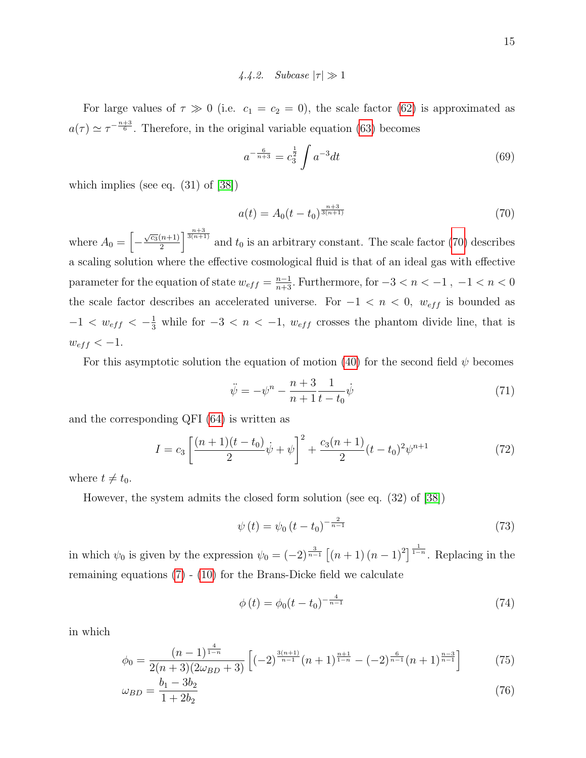# 4.4.2. Subcase  $|\tau| \gg 1$

For large values of  $\tau \gg 0$  (i.e.  $c_1 = c_2 = 0$ ), the scale factor [\(62\)](#page-12-2) is approximated as  $a(\tau) \simeq \tau^{-\frac{n+3}{6}}$ . Therefore, in the original variable equation [\(63\)](#page-12-4) becomes

$$
a^{-\frac{6}{n+3}} = c_3^{\frac{1}{2}} \int a^{-3} dt \tag{69}
$$

which implies (see eq. (31) of [\[38\]](#page-21-9))

<span id="page-14-0"></span>
$$
a(t) = A_0(t - t_0)^{\frac{n+3}{3(n+1)}}
$$
\n(70)

where  $A_0 = \left[ -\frac{\sqrt{c_3}(n+1)}{2} \right]$  $\frac{(n+1)}{2}$   $\frac{n+3}{3(n+1)}$  and  $t_0$  is an arbitrary constant. The scale factor [\(70\)](#page-14-0) describes a scaling solution where the effective cosmological fluid is that of an ideal gas with effective parameter for the equation of state  $w_{eff} = \frac{n-1}{n+3}$ . Furthermore, for  $-3 < n < -1$ ,  $-1 < n < 0$ the scale factor describes an accelerated universe. For  $-1 < n < 0$ ,  $w_{eff}$  is bounded as  $-1 < w_{eff} < -\frac{1}{3}$  while for  $-3 < n < -1$ ,  $w_{eff}$  crosses the phantom divide line, that is  $w_{eff} < -1.$ 

For this asymptotic solution the equation of motion [\(40\)](#page-9-1) for the second field  $\psi$  becomes

<span id="page-14-2"></span>
$$
\ddot{\psi} = -\psi^n - \frac{n+3}{n+1} \frac{1}{t - t_0} \dot{\psi}
$$
\n(71)

and the corresponding QFI [\(64\)](#page-12-3) is written as

$$
I = c_3 \left[ \frac{(n+1)(t-t_0)}{2} \dot{\psi} + \psi \right]^2 + \frac{c_3(n+1)}{2} (t-t_0)^2 \psi^{n+1}
$$
 (72)

where  $t \neq t_0$ .

However, the system admits the closed form solution (see eq. (32) of [\[38\]](#page-21-9))

<span id="page-14-1"></span>
$$
\psi(t) = \psi_0 \left( t - t_0 \right)^{-\frac{2}{n-1}} \tag{73}
$$

in which  $\psi_0$  is given by the expression  $\psi_0 = (-2)^{\frac{3}{n-1}} \left[ (n+1) (n-1)^2 \right]^{\frac{1}{1-n}}$ . Replacing in the remaining equations [\(7\)](#page-4-2) - [\(10\)](#page-4-4) for the Brans-Dicke field we calculate

$$
\phi(t) = \phi_0(t - t_0)^{-\frac{4}{n-1}}\tag{74}
$$

in which

$$
\phi_0 = \frac{(n-1)^{\frac{4}{1-n}}}{2(n+3)(2\omega_{BD}+3)} \left[ (-2)^{\frac{3(n+1)}{n-1}} (n+1)^{\frac{n+1}{1-n}} - (-2)^{\frac{6}{n-1}} (n+1)^{\frac{n-3}{n-1}} \right] \tag{75}
$$

$$
\omega_{BD} = \frac{b_1 - 3b_2}{1 + 2b_2} \tag{76}
$$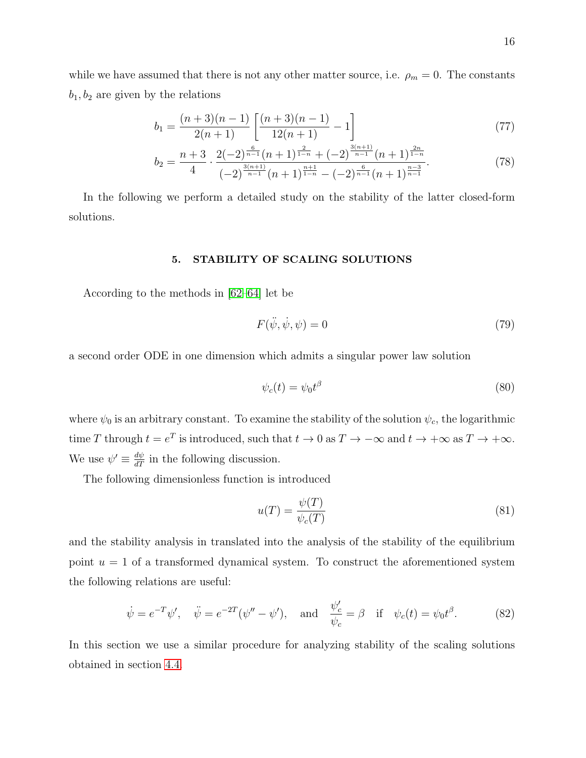while we have assumed that there is not any other matter source, i.e.  $\rho_m = 0$ . The constants  $b_1, b_2$  are given by the relations

$$
b_1 = \frac{(n+3)(n-1)}{2(n+1)} \left[ \frac{(n+3)(n-1)}{12(n+1)} - 1 \right]
$$
\n(77)

$$
b_2 = \frac{n+3}{4} \cdot \frac{2(-2)^{\frac{6}{n-1}}(n+1)^{\frac{2}{1-n}} + (-2)^{\frac{3(n+1)}{n-1}}(n+1)^{\frac{2n}{1-n}}}{(-2)^{\frac{3(n+1)}{n-1}}(n+1)^{\frac{n+1}{1-n}} - (-2)^{\frac{6}{n-1}}(n+1)^{\frac{n-3}{n-1}}}.
$$
(78)

In the following we perform a detailed study on the stability of the latter closed-form solutions.

#### <span id="page-15-0"></span>5. STABILITY OF SCALING SOLUTIONS

According to the methods in [\[62–](#page-22-11)[64\]](#page-22-12) let be

$$
F(\ddot{\psi}, \dot{\psi}, \psi) = 0 \tag{79}
$$

a second order ODE in one dimension which admits a singular power law solution

$$
\psi_c(t) = \psi_0 t^\beta \tag{80}
$$

where  $\psi_0$  is an arbitrary constant. To examine the stability of the solution  $\psi_c$ , the logarithmic time T through  $t = e^T$  is introduced, such that  $t \to 0$  as  $T \to -\infty$  and  $t \to +\infty$  as  $T \to +\infty$ . We use  $\psi' \equiv \frac{d\psi}{dT}$  in the following discussion.

The following dimensionless function is introduced

$$
u(T) = \frac{\psi(T)}{\psi_c(T)}\tag{81}
$$

and the stability analysis in translated into the analysis of the stability of the equilibrium point  $u = 1$  of a transformed dynamical system. To construct the aforementioned system the following relations are useful:

<span id="page-15-1"></span>
$$
\dot{\psi} = e^{-T} \psi', \quad \ddot{\psi} = e^{-2T} (\psi'' - \psi'), \quad \text{and} \quad \frac{\psi_c'}{\psi_c} = \beta \quad \text{if} \quad \psi_c(t) = \psi_0 t^\beta. \tag{82}
$$

In this section we use a similar procedure for analyzing stability of the scaling solutions obtained in section [4.4.](#page-12-0)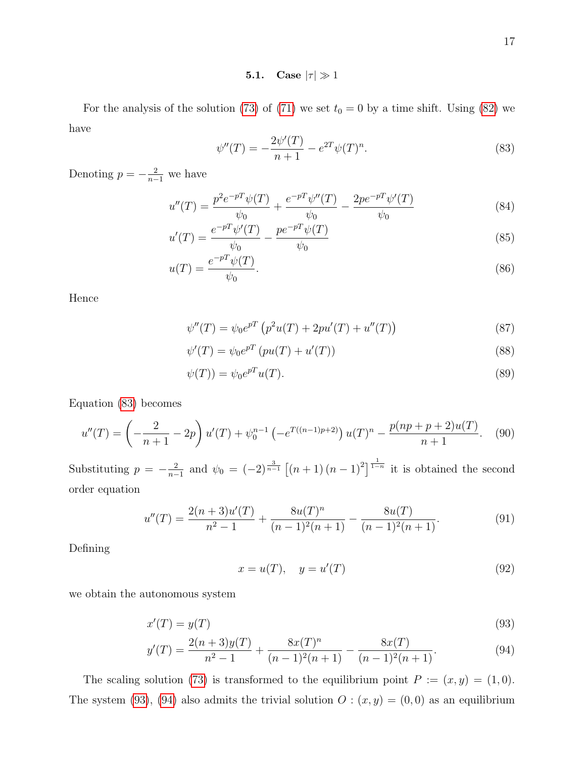5.1. Case  $|\tau| \gg 1$ 

For the analysis of the solution [\(73\)](#page-14-1) of [\(71\)](#page-14-2) we set  $t_0 = 0$  by a time shift. Using [\(82\)](#page-15-1) we have

<span id="page-16-0"></span>
$$
\psi''(T) = -\frac{2\psi'(T)}{n+1} - e^{2T}\psi(T)^n.
$$
\n(83)

Denoting  $p = -\frac{2}{n-1}$  we have

$$
u''(T) = \frac{p^2 e^{-pT} \psi(T)}{\psi_0} + \frac{e^{-pT} \psi''(T)}{\psi_0} - \frac{2p e^{-pT} \psi'(T)}{\psi_0}
$$
(84)

$$
u'(T) = \frac{e^{-pT}\psi'(T)}{\psi_0} - \frac{pe^{-pT}\psi(T)}{\psi_0}
$$
\n(85)

$$
u(T) = \frac{e^{-pT}\psi(T)}{\psi_0}.\tag{86}
$$

Hence

$$
\psi''(T) = \psi_0 e^{pT} \left( p^2 u(T) + 2p u'(T) + u''(T) \right)
$$
\n(87)

$$
\psi'(T) = \psi_0 e^{pT} \left( p u(T) + u'(T) \right) \tag{88}
$$

$$
\psi(T)) = \psi_0 e^{pT} u(T). \tag{89}
$$

Equation [\(83\)](#page-16-0) becomes

$$
u''(T) = \left(-\frac{2}{n+1} - 2p\right)u'(T) + \psi_0^{n-1} \left(-e^{T((n-1)p+2)}\right)u(T)^n - \frac{p(np+p+2)u(T)}{n+1}.\tag{90}
$$

Substituting  $p = -\frac{2}{n-1}$  $\frac{2}{n-1}$  and  $\psi_0 = (-2)^{\frac{3}{n-1}} \left[ (n+1) (n-1)^2 \right]^{1 \over 1-n}$  it is obtained the second order equation

$$
u''(T) = \frac{2(n+3)u'(T)}{n^2 - 1} + \frac{8u(T)^n}{(n-1)^2(n+1)} - \frac{8u(T)}{(n-1)^2(n+1)}.
$$
\n(91)

Defining

<span id="page-16-2"></span><span id="page-16-1"></span>
$$
x = u(T), \quad y = u'(T) \tag{92}
$$

we obtain the autonomous system

$$
x'(T) = y(T) \tag{93}
$$

$$
y'(T) = \frac{2(n+3)y(T)}{n^2 - 1} + \frac{8x(T)^n}{(n-1)^2(n+1)} - \frac{8x(T)}{(n-1)^2(n+1)}.
$$
\n(94)

The scaling solution [\(73\)](#page-14-1) is transformed to the equilibrium point  $P := (x, y) = (1, 0)$ . The system [\(93\)](#page-16-1), [\(94\)](#page-16-2) also admits the trivial solution  $O: (x, y) = (0, 0)$  as an equilibrium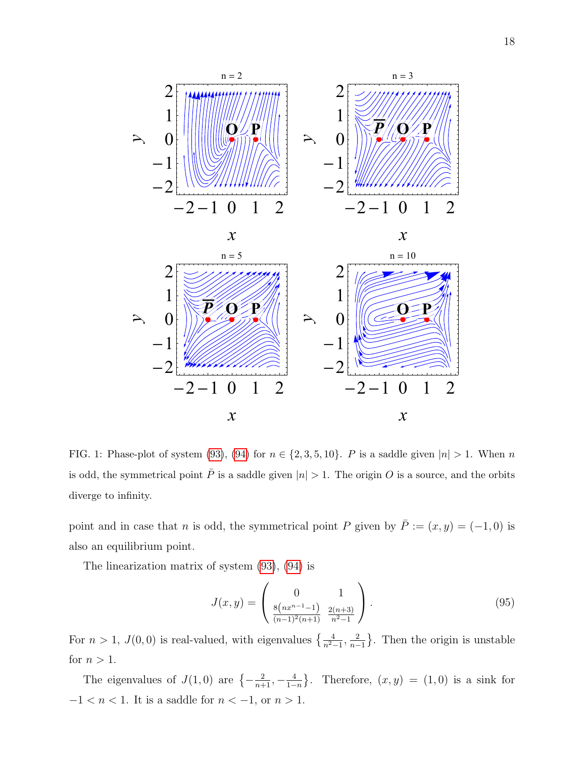

<span id="page-17-0"></span>FIG. 1: Phase-plot of system [\(93\)](#page-16-1), [\(94\)](#page-16-2) for  $n \in \{2, 3, 5, 10\}$ . P is a saddle given  $|n| > 1$ . When n is odd, the symmetrical point  $\overline{P}$  is a saddle given  $|n| > 1$ . The origin O is a source, and the orbits diverge to infinity.

point and in case that n is odd, the symmetrical point P given by  $\overline{P} := (x, y) = (-1, 0)$  is also an equilibrium point.

The linearization matrix of system [\(93\)](#page-16-1), [\(94\)](#page-16-2) is

$$
J(x,y) = \begin{pmatrix} 0 & 1 \\ \frac{8(nx^{n-1}-1)}{(n-1)^2(n+1)} & \frac{2(n+3)}{n^2-1} \end{pmatrix}.
$$
 (95)

For  $n > 1$ ,  $J(0,0)$  is real-valued, with eigenvalues  $\left\{\frac{4}{n^2-1}, \frac{2}{n-1}\right\}$  $\frac{2}{n-1}$ . Then the origin is unstable for  $n > 1$ .

The eigenvalues of  $J(1,0)$  are  $\left\{-\frac{2}{n+1}, -\frac{4}{1-}\right\}$  $\frac{4}{1-n}$ . Therefore,  $(x, y) = (1, 0)$  is a sink for  $-1 < n < 1$ . It is a saddle for  $n < -1$ , or  $n > 1$ .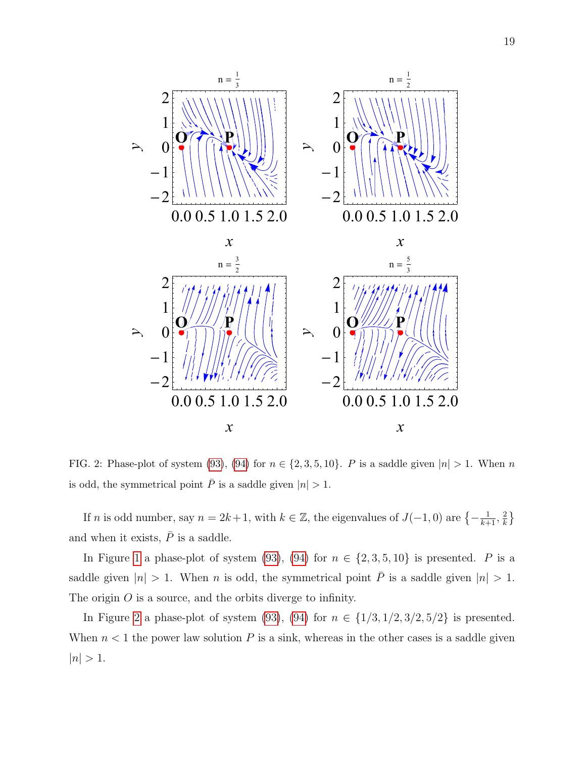

<span id="page-18-0"></span>FIG. 2: Phase-plot of system [\(93\)](#page-16-1), [\(94\)](#page-16-2) for  $n \in \{2, 3, 5, 10\}$ . P is a saddle given  $|n| > 1$ . When n is odd, the symmetrical point  $\overline{P}$  is a saddle given  $|n| > 1$ .

If n is odd number, say  $n = 2k + 1$ , with  $k \in \mathbb{Z}$ , the eigenvalues of  $J(-1,0)$  are  $\{-\frac{1}{k+1}, \frac{2}{k}\}$  $\frac{2}{k}$ and when it exists,  $\bar{P}$  is a saddle.

In Figure [1](#page-17-0) a phase-plot of system [\(93\)](#page-16-1), [\(94\)](#page-16-2) for  $n \in \{2, 3, 5, 10\}$  is presented. P is a saddle given  $|n| > 1$ . When *n* is odd, the symmetrical point  $\overline{P}$  is a saddle given  $|n| > 1$ . The origin O is a source, and the orbits diverge to infinity.

In Figure [2](#page-18-0) a phase-plot of system [\(93\)](#page-16-1), [\(94\)](#page-16-2) for  $n \in \{1/3, 1/2, 3/2, 5/2\}$  is presented. When  $n < 1$  the power law solution P is a sink, whereas in the other cases is a saddle given  $|n| > 1.$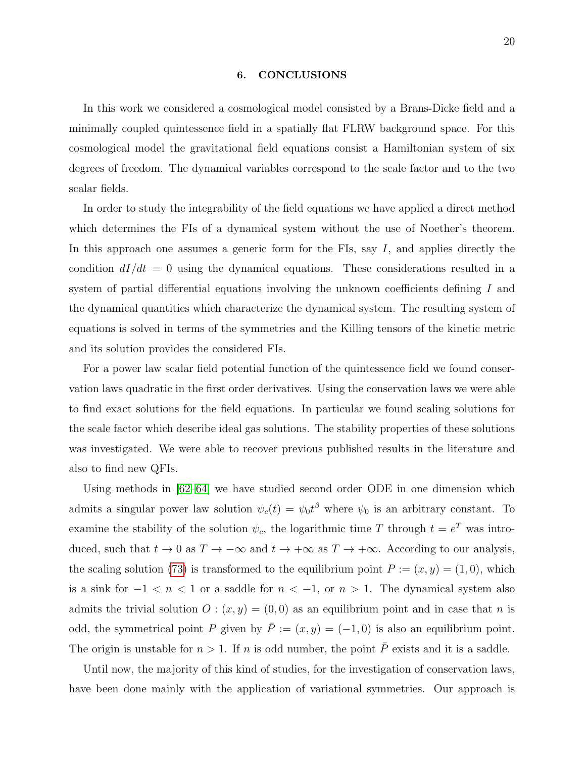#### <span id="page-19-0"></span>6. CONCLUSIONS

In this work we considered a cosmological model consisted by a Brans-Dicke field and a minimally coupled quintessence field in a spatially flat FLRW background space. For this cosmological model the gravitational field equations consist a Hamiltonian system of six degrees of freedom. The dynamical variables correspond to the scale factor and to the two scalar fields.

In order to study the integrability of the field equations we have applied a direct method which determines the FIs of a dynamical system without the use of Noether's theorem. In this approach one assumes a generic form for the FIs, say  $I$ , and applies directly the condition  $dI/dt = 0$  using the dynamical equations. These considerations resulted in a system of partial differential equations involving the unknown coefficients defining I and the dynamical quantities which characterize the dynamical system. The resulting system of equations is solved in terms of the symmetries and the Killing tensors of the kinetic metric and its solution provides the considered FIs.

For a power law scalar field potential function of the quintessence field we found conservation laws quadratic in the first order derivatives. Using the conservation laws we were able to find exact solutions for the field equations. In particular we found scaling solutions for the scale factor which describe ideal gas solutions. The stability properties of these solutions was investigated. We were able to recover previous published results in the literature and also to find new QFIs.

Using methods in [\[62–](#page-22-11)[64\]](#page-22-12) we have studied second order ODE in one dimension which admits a singular power law solution  $\psi_c(t) = \psi_0 t^\beta$  where  $\psi_0$  is an arbitrary constant. To examine the stability of the solution  $\psi_c$ , the logarithmic time T through  $t = e^T$  was introduced, such that  $t \to 0$  as  $T \to -\infty$  and  $t \to +\infty$  as  $T \to +\infty$ . According to our analysis, the scaling solution [\(73\)](#page-14-1) is transformed to the equilibrium point  $P := (x, y) = (1, 0)$ , which is a sink for  $-1 < n < 1$  or a saddle for  $n < -1$ , or  $n > 1$ . The dynamical system also admits the trivial solution  $O: (x, y) = (0, 0)$  as an equilibrium point and in case that n is odd, the symmetrical point P given by  $\overline{P} := (x, y) = (-1, 0)$  is also an equilibrium point. The origin is unstable for  $n > 1$ . If n is odd number, the point  $\overline{P}$  exists and it is a saddle.

Until now, the majority of this kind of studies, for the investigation of conservation laws, have been done mainly with the application of variational symmetries. Our approach is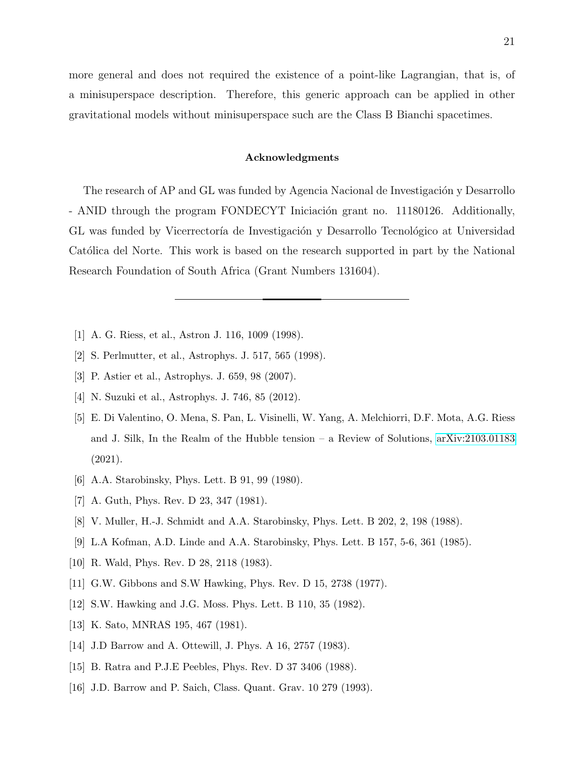more general and does not required the existence of a point-like Lagrangian, that is, of a minisuperspace description. Therefore, this generic approach can be applied in other gravitational models without minisuperspace such are the Class B Bianchi spacetimes.

#### Acknowledgments

The research of AP and GL was funded by Agencia Nacional de Investigación y Desarrollo - ANID through the program FONDECYT Iniciación grant no. 11180126. Additionally, GL was funded by Vicerrectoría de Investigación y Desarrollo Tecnológico at Universidad Católica del Norte. This work is based on the research supported in part by the National Research Foundation of South Africa (Grant Numbers 131604).

- <span id="page-20-0"></span>[1] A. G. Riess, et al., Astron J. 116, 1009 (1998).
- [2] S. Perlmutter, et al., Astrophys. J. 517, 565 (1998).
- <span id="page-20-1"></span>[3] P. Astier et al., Astrophys. J. 659, 98 (2007).
- <span id="page-20-2"></span>[4] N. Suzuki et al., Astrophys. J. 746, 85 (2012).
- [5] E. Di Valentino, O. Mena, S. Pan, L. Visinelli, W. Yang, A. Melchiorri, D.F. Mota, A.G. Riess and J. Silk, In the Realm of the Hubble tension – a Review of Solutions, [arXiv:2103.01183](http://arxiv.org/abs/2103.01183) (2021).
- <span id="page-20-4"></span><span id="page-20-3"></span>[6] A.A. Starobinsky, Phys. Lett. B 91, 99 (1980).
- <span id="page-20-5"></span>[7] A. Guth, Phys. Rev. D 23, 347 (1981).
- <span id="page-20-6"></span>[8] V. Muller, H.-J. Schmidt and A.A. Starobinsky, Phys. Lett. B 202, 2, 198 (1988).
- <span id="page-20-7"></span>[9] L.A Kofman, A.D. Linde and A.A. Starobinsky, Phys. Lett. B 157, 5-6, 361 (1985).
- <span id="page-20-8"></span>[10] R. Wald, Phys. Rev. D 28, 2118 (1983).
- <span id="page-20-9"></span>[11] G.W. Gibbons and S.W Hawking, Phys. Rev. D 15, 2738 (1977).
- <span id="page-20-10"></span>[12] S.W. Hawking and J.G. Moss. Phys. Lett. B 110, 35 (1982).
- <span id="page-20-11"></span>[13] K. Sato, MNRAS 195, 467 (1981).
- <span id="page-20-12"></span>[14] J.D Barrow and A. Ottewill, J. Phys. A 16, 2757 (1983).
- <span id="page-20-13"></span>[15] B. Ratra and P.J.E Peebles, Phys. Rev. D 37 3406 (1988).
- [16] J.D. Barrow and P. Saich, Class. Quant. Grav. 10 279 (1993).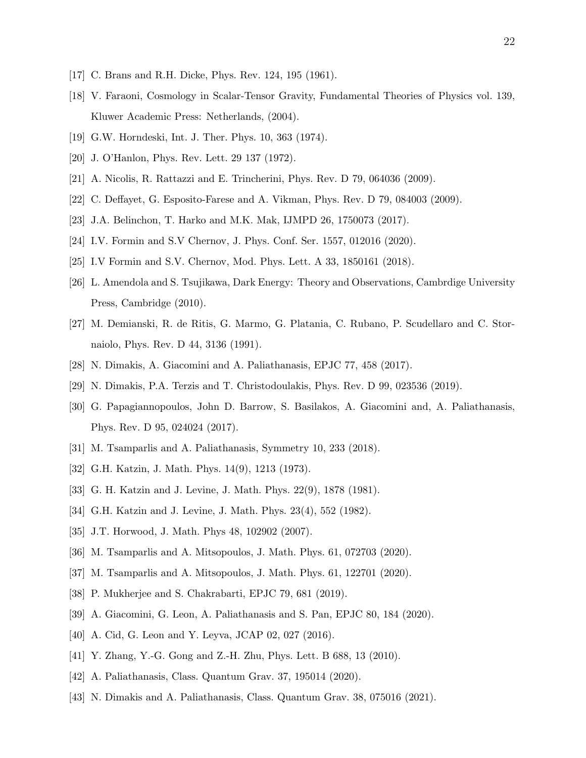- <span id="page-21-1"></span><span id="page-21-0"></span>[17] C. Brans and R.H. Dicke, Phys. Rev. 124, 195 (1961).
- [18] V. Faraoni, Cosmology in Scalar-Tensor Gravity, Fundamental Theories of Physics vol. 139, Kluwer Academic Press: Netherlands, (2004).
- [19] G.W. Horndeski, Int. J. Ther. Phys. 10, 363 (1974).
- [20] J. O'Hanlon, Phys. Rev. Lett. 29 137 (1972).
- [21] A. Nicolis, R. Rattazzi and E. Trincherini, Phys. Rev. D 79, 064036 (2009).
- [22] C. Deffayet, G. Esposito-Farese and A. Vikman, Phys. Rev. D 79, 084003 (2009).
- [23] J.A. Belinchon, T. Harko and M.K. Mak, IJMPD 26, 1750073 (2017).
- <span id="page-21-2"></span>[24] I.V. Formin and S.V Chernov, J. Phys. Conf. Ser. 1557, 012016 (2020).
- <span id="page-21-3"></span>[25] I.V Formin and S.V. Chernov, Mod. Phys. Lett. A 33, 1850161 (2018).
- [26] L. Amendola and S. Tsujikawa, Dark Energy: Theory and Observations, Cambrdige University Press, Cambridge (2010).
- <span id="page-21-4"></span>[27] M. Demianski, R. de Ritis, G. Marmo, G. Platania, C. Rubano, P. Scudellaro and C. Stornaiolo, Phys. Rev. D 44, 3136 (1991).
- [28] N. Dimakis, A. Giacomini and A. Paliathanasis, EPJC 77, 458 (2017).
- <span id="page-21-5"></span>[29] N. Dimakis, P.A. Terzis and T. Christodoulakis, Phys. Rev. D 99, 023536 (2019).
- [30] G. Papagiannopoulos, John D. Barrow, S. Basilakos, A. Giacomini and, A. Paliathanasis, Phys. Rev. D 95, 024024 (2017).
- <span id="page-21-7"></span><span id="page-21-6"></span>[31] M. Tsamparlis and A. Paliathanasis, Symmetry 10, 233 (2018).
- [32] G.H. Katzin, J. Math. Phys. 14(9), 1213 (1973).
- [33] G. H. Katzin and J. Levine, J. Math. Phys. 22(9), 1878 (1981).
- [34] G.H. Katzin and J. Levine, J. Math. Phys. 23(4), 552 (1982).
- [35] J.T. Horwood, J. Math. Phys 48, 102902 (2007).
- <span id="page-21-8"></span>[36] M. Tsamparlis and A. Mitsopoulos, J. Math. Phys. 61, 072703 (2020).
- <span id="page-21-9"></span>[37] M. Tsamparlis and A. Mitsopoulos, J. Math. Phys. 61, 122701 (2020).
- <span id="page-21-10"></span>[38] P. Mukherjee and S. Chakrabarti, EPJC 79, 681 (2019).
- <span id="page-21-11"></span>[39] A. Giacomini, G. Leon, A. Paliathanasis and S. Pan, EPJC 80, 184 (2020).
- [40] A. Cid, G. Leon and Y. Leyva, JCAP 02, 027 (2016).
- <span id="page-21-12"></span>[41] Y. Zhang, Y.-G. Gong and Z.-H. Zhu, Phys. Lett. B 688, 13 (2010).
- <span id="page-21-13"></span>[42] A. Paliathanasis, Class. Quantum Grav. 37, 195014 (2020).
- [43] N. Dimakis and A. Paliathanasis, Class. Quantum Grav. 38, 075016 (2021).